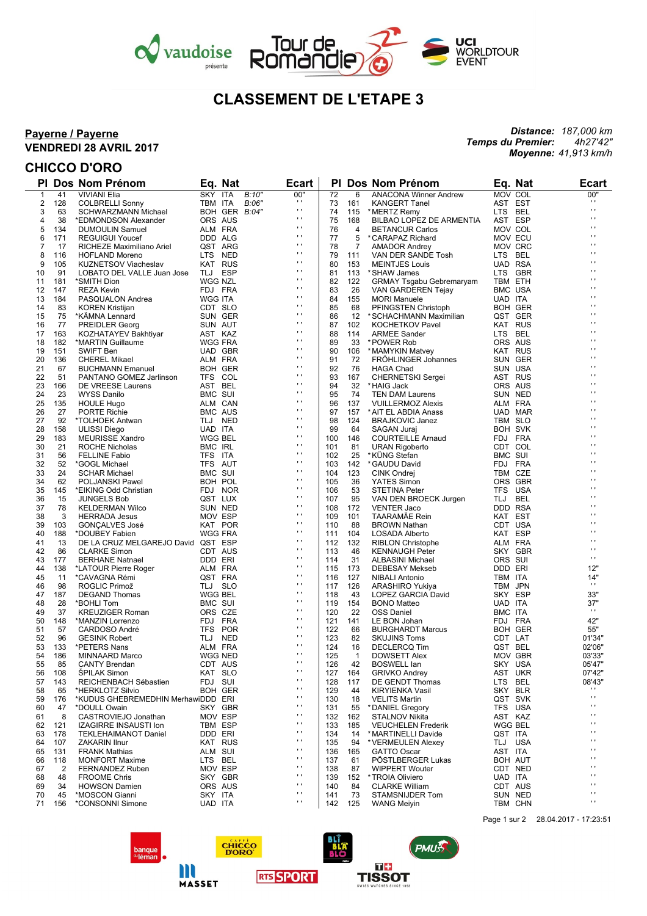



# **CLASSEMENT DE L'ETAPE 3**

#### **Payerne / Payerne VENDREDI 28 AVRIL 2017**

## **CHICCO D'ORO**

 $\overline{\phantom{a}}$ 

*Distance: 187,000 km Temps du Premier: 4h27'42" Moyenne: 41,913 km/h*

| PI.          |                | Dos Nom Prénom                     |                    | Eq. Nat        | Ecart          |     |                | <b>PI Dos Nom Prénom</b>        |                | Eq. Nat        | <b>Ecart</b>        |
|--------------|----------------|------------------------------------|--------------------|----------------|----------------|-----|----------------|---------------------------------|----------------|----------------|---------------------|
| $\mathbf{1}$ | 41             | <b>VIVIANI Elia</b>                | SKY ITA            | B:10"          | 00"            | 72  | 6              | <b>ANACONA Winner Andrew</b>    |                | MOV COL        | 00"                 |
| 2            | 128            | <b>COLBRELLI Sonny</b>             | TBM ITA            | B:06"          | $\mathbf{r}$   | 73  | 161            | <b>KANGERT Tanel</b>            |                | AST EST        | $\mathbf{r}$        |
| 3            | 63             | SCHWARZMANN Michael                |                    | BOH GER B:04"  | $\mathbf{r}$   | 74  | 115            | * MERTZ Remy                    |                | LTS BEL        | Ĥ,                  |
| 4            | 38             | *EDMONDSON Alexander               | ORS AUS            |                | $\mathbf{r}$   | 75  | 168            | BILBAO LOPEZ DE ARMENTIA        |                | AST ESP        | Ĥ,                  |
| 5            | 134            | <b>DUMOULIN Samuel</b>             | ALM FRA            |                | $\mathbf{r}$   | 76  | 4              | <b>BETANCUR Carlos</b>          |                | MOV COL        | o,                  |
| 6            | 171            | <b>REGUIGUI Youcef</b>             | DDD ALG            |                | .,             | 77  | 5              | * CARAPAZ Richard               |                | MOV ECU        | п                   |
| 7            | 17             | RICHEZE Maximiliano Ariel          |                    | QST ARG        | $\cdots$       | 78  | 7              | <b>AMADOR Andrey</b>            |                | MOV CRC        | Ĥ,                  |
| 8            | 116            | <b>HOFLAND Moreno</b>              | LTS NED            |                | $\cdots$       | 79  | 111            | VAN DER SANDE Tosh              | LTS BEL        |                | o,                  |
| 9            | 105            | <b>KUZNETSOV Viacheslav</b>        |                    | KAT RUS        | .,             | 80  | 153            | <b>MEINTJES Louis</b>           |                | UAD RSA        | п                   |
|              | 91             |                                    | TLJ ESP            |                | $\cdots$       |     |                |                                 |                | LTS GBR        | $\cdot$             |
| 10           |                | LOBATO DEL VALLE Juan Jose         |                    |                | $\cdots$       | 81  | 113            | * SHAW James                    |                |                | o,                  |
| 11           | 181            | *SMITH Dion                        | WGG NZL            |                | .,             | 82  | 122            | <b>GRMAY Tsgabu Gebremaryam</b> |                | TBM ETH        | п                   |
| 12           | 147            | <b>REZA Kevin</b>                  | FDJ FRA            |                | $\cdots$       | 83  | 26             | VAN GARDEREN Tejay              |                | <b>BMC USA</b> | $\cdot$             |
| 13           | 184            | PASQUALON Andrea                   | WGG ITA            |                |                | 84  | 155            | <b>MORI Manuele</b>             | UAD ITA        |                | o,                  |
| 14           | 83             | <b>KOREN Kristijan</b>             | CDT SLO            |                | $\cdots$       | 85  | 68             | PFINGSTEN Christoph             |                | <b>BOH GER</b> |                     |
| 15           | 75             | *KÄMNA Lennard                     |                    | SUN GER        | .,             | 86  | 12             | *SCHACHMANN Maximilian          |                | QST GER        | $\blacksquare$      |
| 16           | 77             | <b>PREIDLER Georg</b>              | SUN AUT            |                | $\cdots$       | 87  | 102            | <b>KOCHETKOV Pavel</b>          |                | KAT RUS        | Ĥ,                  |
| 17           | 163            | KOZHATAYEV Bakhtiyar               | AST KAZ            |                | $\cdots$       | 88  | 114            | <b>ARMEE Sander</b>             | LTS BEL        |                | o,                  |
| 18           | 182            | *MARTIN Guillaume                  | <b>WGG FRA</b>     |                | .,             | 89  | 33             | * POWER Rob                     |                | ORS AUS        | п                   |
| 19           | 151            | <b>SWIFT Ben</b>                   |                    | UAD GBR        | $\cdots$       | 90  | 106            | * MAMYKIN Matvey                |                | KAT RUS        | $\cdot$             |
| 20           | 136            | <b>CHEREL Mikael</b>               | ALM FRA            |                | $\cdots$       | 91  | 72             | <b>FRÖHLINGER Johannes</b>      |                | SUN GER        | o,                  |
| 21           | 67             | <b>BUCHMANN Emanuel</b>            |                    | <b>BOH GER</b> | .,             | 92  | 76             | <b>HAGA Chad</b>                |                | SUN USA        | п                   |
| 22           | 51             | PANTANO GOMEZ Jarlinson            | TFS COL            |                | $\cdots$       | 93  | 167            | <b>CHERNETSKI Sergei</b>        |                | AST RUS        | $\cdot$             |
| 23           | 166            | DE VREESE Laurens                  | AST BEL            |                | $\cdots$       | 94  | 32             | * HAIG Jack                     |                | ORS AUS        | o,                  |
| 24           | 23             | WYSS Danilo                        | BMC SUI            |                | .,             | 95  | 74             | <b>TEN DAM Laurens</b>          |                | SUN NED        | п                   |
| 25           | 135            | <b>HOULE Hugo</b>                  | ALM CAN            |                | $\cdots$       | 96  | 137            | <b>VUILLERMOZ Alexis</b>        |                | ALM FRA        | Ĥ,                  |
| 26           | 27             |                                    | <b>BMC AUS</b>     |                | $\cdots$       | 97  | 157            | * AIT EL ABDIA Anass            |                | UAD MAR        | н.                  |
|              |                | <b>PORTE Richie</b>                |                    |                | .,             |     |                |                                 |                |                | п                   |
| 27           | 92             | *TOLHOEK Antwan                    | TLJ NED            |                | $\cdots$       | 98  | 124            | <b>BRAJKOVIC Janez</b>          |                | TBM SLO        | $\cdot$             |
| 28           | 158            | <b>ULISSI Diego</b>                | UAD ITA            |                | $\mathbf{r}$   | 99  | 64             | SAGAN Juraj                     |                | <b>BOH SVK</b> | н.                  |
| 29           | 183            | <b>MEURISSE Xandro</b>             | <b>WGG BEL</b>     |                | .,             | 100 | 146            | <b>COURTEILLE Arnaud</b>        |                | FDJ FRA        | п                   |
| 30           | 21             | ROCHE Nicholas                     | <b>BMC IRL</b>     |                |                | 101 | 81             | URAN Rigoberto                  |                | CDT COL        |                     |
| 31           | 56             | <b>FELLINE Fabio</b>               | TFS ITA            |                | $\cdots$       | 102 | 25             | *KÜNG Stefan                    | <b>BMC SUI</b> |                | $\cdot$             |
| 32           | 52             | *GOGL Michael                      | TFS AUT            |                | $\mathbf{r}$   | 103 | 142            | * GAUDU David                   |                | FDJ FRA        | o,                  |
| 33           | 24             | <b>SCHAR Michael</b>               | <b>BMC SUI</b>     |                | $\mathbf{r}$   | 104 | 123            | <b>CINK Ondrej</b>              |                | TBM CZE        | $\blacksquare$      |
| 34           | 62             | POLJANSKI Pawel                    | BOH POL            |                | $\mathbf{r}$   | 105 | 36             | YATES Simon                     |                | ORS GBR        | $\cdot$             |
| 35           | 145            | *EIKING Odd Christian              |                    | FDJ NOR        | $\mathbf{r}$   | 106 | 53             | <b>STETINA Peter</b>            |                | TFS USA        | н.                  |
| 36           | 15             | <b>JUNGELS Bob</b>                 | QST LUX            |                | $\mathbf{r}$   | 107 | 95             | VAN DEN BROECK Jurgen           | TLJ            | <b>BEL</b>     | $\blacksquare$      |
| 37           | 78             | <b>KELDERMAN Wilco</b>             | SUN NED            |                | $\mathbf{r}$   | 108 | 172            | <b>VENTER Jaco</b>              |                | DDD RSA        | $\cdot$             |
| 38           | 3              | <b>HERRADA Jesus</b>               | MOV ESP            |                | $\blacksquare$ | 109 | 101            | <b>TAARAMAE Rein</b>            |                | KAT EST        | н.                  |
| 39           | 103            | GONÇALVES José                     |                    | KAT POR        | $\mathbf{r}$   | 110 | 88             | <b>BROWN Nathan</b>             |                | CDT USA        | $\cdot$             |
| 40           | 188            | *DOUBEY Fabien                     | <b>WGG FRA</b>     |                | $\mathbf{r}$   | 111 | 104            | LOSADA Alberto                  |                | KAT ESP        | Ĥ,                  |
| 41           | 13             | DE LA CRUZ MELGAREJO David QST ESP |                    |                | $\mathbf{r}$   | 112 | 132            | <b>RIBLON Christophe</b>        |                | ALM FRA        | o,                  |
| 42           | 86             | <b>CLARKE Simon</b>                | CDT AUS            |                | $\mathbf{r}$   | 113 | 46             | <b>KENNAUGH Peter</b>           |                | SKY GBR        | $\blacksquare$      |
| 43           | 177            | <b>BERHANE Natnael</b>             | DDD ERI            |                | $\mathbf{r}$   | 114 | 31             | <b>ALBASINI Michael</b>         | ORS SUI        |                | $\mathbf{r}$        |
| 44           | 138            |                                    | ALM FRA            |                | $\mathbf{r}$   | 115 | 173            | <b>DEBESAY Mekseb</b>           | DDD ERI        |                | 12"                 |
|              |                | *LATOUR Pierre Roger               |                    |                | $\mathbf{r}$   |     |                |                                 |                |                | 14"                 |
| 45           | 11             | *CAVAGNA Rémi                      | QST FRA            |                | $\mathbf{r}$   | 116 | 127            | <b>NIBALI Antonio</b>           | TBM ITA        |                | $\blacksquare$      |
| 46           | 98             | ROGLIC Primož                      | TLJ SLO            |                | $\blacksquare$ | 117 | 126            | ARASHIRO Yukiya                 |                | TBM JPN        |                     |
| 47           | 187            | <b>DEGAND Thomas</b>               | WGG BEL            |                | $\mathbf{r}$   | 118 | 43             | LOPEZ GARCIA David              |                | SKY ESP        | 33"                 |
| 48           | 28             | *BOHLI Tom                         | BMC SUI            |                | $\mathbf{r}$   | 119 | 154            | <b>BONO Matteo</b>              | UAD ITA        |                | 37"<br>$\mathbf{r}$ |
| 49           | 37             | <b>KREUZIGER Roman</b>             | ORS CZE            |                |                | 120 | 22             | <b>OSS Daniel</b>               | BMC ITA        |                |                     |
| 50           | 148            | *MANZIN Lorrenzo                   | FDJ FRA            |                | $\blacksquare$ | 121 | 141            | LE BON Johan                    |                | FDJ FRA        | 42"                 |
| 51           | 57             | CARDOSO André                      |                    | TFS POR        | $\mathbf{r}$   | 122 | 66             | <b>BURGHARDT Marcus</b>         |                | <b>BOH GER</b> | 55"                 |
| 52           | 96             | <b>GESINK Robert</b>               | TLJ NED            |                | $\mathbf{r}$   | 123 | 82             | <b>SKUJINS Toms</b>             |                | CDT LAT        | 01'34"              |
| 53           | 133            | *PETERS Nans                       | ALM FRA            |                | $\blacksquare$ | 124 | 16             | <b>DECLERCQ Tim</b>             |                | QST BEL        | 02'06"              |
| 54           | 186            | <b>MINNAARD Marco</b>              | <b>WGG NED</b>     |                | $\mathbf{r}$   | 125 | $\overline{1}$ | <b>DOWSETT Alex</b>             |                | MOV GBR        | 03'33"              |
| 55           | 85             | <b>CANTY Brendan</b>               | CDT AUS            |                | $\mathbf{r}$ . | 126 | 42             | <b>BOSWELL lan</b>              |                | SKY USA        | 05'47"              |
| 56           | 108            | <b>SPILAK Simon</b>                | KAT SLO            |                | $\mathbf{r}$   | 127 | 164            | <b>GRIVKO Andrey</b>            |                | AST UKR        | 07'42"              |
| 57           | 143            | REICHENBACH Sébastien              | FDJ SUI            |                | $\mathbf{r}$   | 128 | 117            | DE GENDT Thomas                 | LTS            | <b>BEL</b>     | 08'43"              |
| 58           | 65             | *HERKLOTZ Silvio                   |                    | <b>BOH GER</b> | $\cdots$       | 129 | 44             | <b>KIRYIENKA Vasil</b>          |                | SKY BLR        | .,                  |
| 59           | 176            | *KUDUS GHEBREMEDHIN MerhawiDDD ERI |                    |                | $\blacksquare$ | 130 | 18             | <b>VELITS Martin</b>            |                | QST SVK        | $\blacksquare$      |
| 60           | 47             | *DOULL Owain                       |                    | SKY GBR        | $\mathbf{r}$   | 131 | 55             | * DANIEL Gregory                |                | TFS USA        | $\blacksquare$      |
|              | 8              | CASTROVIEJO Jonathan               |                    |                | $\blacksquare$ |     |                | <b>STALNOV Nikita</b>           |                |                | $\blacksquare$      |
| 61           |                |                                    | MOV ESP<br>TBM ESP |                | $\blacksquare$ | 132 | 162<br>185     |                                 |                | AST KAZ        | н,                  |
| 62           | 121            | <b>IZAGIRRE INSAUSTI Ion</b>       |                    |                | $\mathbf{r}$   | 133 |                | <b>VEUCHELEN Frederik</b>       |                | WGG BEL        | н                   |
| 63           | 178            | <b>TEKLEHAIMANOT Daniel</b>        | DDD ERI            |                | $\blacksquare$ | 134 | 14             | *MARTINELLI Davide              | QST ITA        |                | $\blacksquare$      |
| 64           | 107            | <b>ZAKARIN Ilnur</b>               |                    | KAT RUS        | $\blacksquare$ | 135 | 94             | *VERMEULEN Alexey               |                | TLJ USA        | н,                  |
| 65           | 131            | <b>FRANK Mathias</b>               | ALM SUI            |                |                | 136 | 165            | <b>GATTO Oscar</b>              | AST ITA        |                |                     |
| 66           | 118            | <b>MONFORT Maxime</b>              | LTS BEL            |                | $\mathbf{r}$   | 137 | 61             | PÖSTLBERGER Lukas               |                | BOH AUT        | н                   |
| 67           | $\overline{2}$ | FERNANDEZ Ruben                    | MOV ESP            |                | $\blacksquare$ | 138 | 87             | <b>WIPPERT Wouter</b>           |                | CDT NED        | $\blacksquare$      |
| 68           | 48             | <b>FROOME Chris</b>                |                    | SKY GBR        | $\blacksquare$ | 139 | 152            | *TROIA Oliviero                 | UAD ITA        |                | н,                  |
| 69           | 34             | <b>HOWSON Damien</b>               |                    | ORS AUS        | $\mathbf{r}$   | 140 | 84             | <b>CLARKE William</b>           |                | CDT AUS        | $\blacksquare$      |
| 70           | 45             | *MOSCON Gianni                     | SKY ITA            |                | $\blacksquare$ | 141 | 73             | STAMSNIJDER Tom                 |                | SUN NED        | $\blacksquare$      |
| 71           | 156            | *CONSONNI Simone                   | UAD ITA            |                | $\blacksquare$ | 142 | 125            | <b>WANG Meiyin</b>              |                | TBM CHN        | $\blacksquare$      |



**MASSET** 





Page 1 sur 2 28.04.2017 - 17:23:51